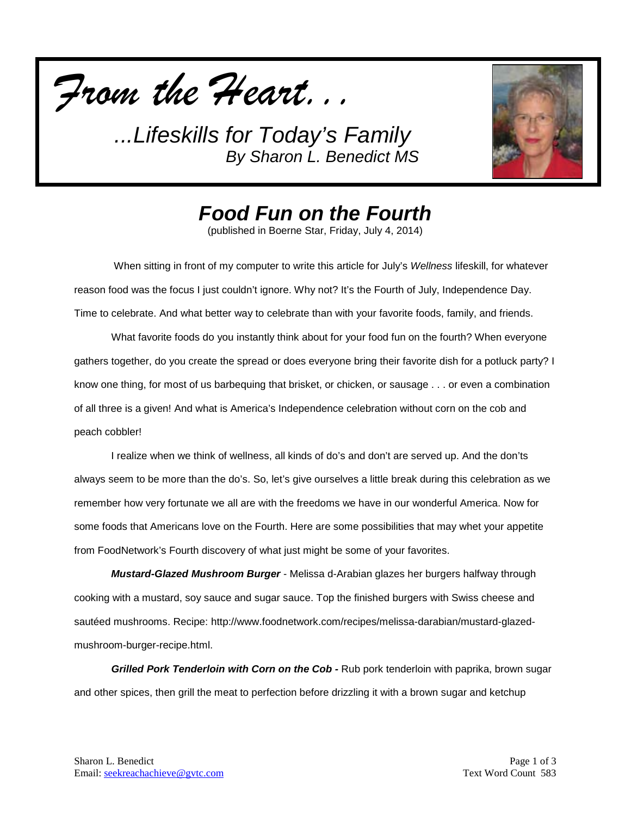



## *Food Fun on the Fourth*

(published in Boerne Star, Friday, July 4, 2014)

When sitting in front of my computer to write this article for July's *Wellness* lifeskill, for whatever reason food was the focus I just couldn't ignore. Why not? It's the Fourth of July, Independence Day. Time to celebrate. And what better way to celebrate than with your favorite foods, family, and friends.

What favorite foods do you instantly think about for your food fun on the fourth? When everyone gathers together, do you create the spread or does everyone bring their favorite dish for a potluck party? I know one thing, for most of us barbequing that brisket, or chicken, or sausage . . . or even a combination of all three is a given! And what is America's Independence celebration without corn on the cob and peach cobbler!

I realize when we think of wellness, all kinds of do's and don't are served up. And the don'ts always seem to be more than the do's. So, let's give ourselves a little break during this celebration as we remember how very fortunate we all are with the freedoms we have in our wonderful America. Now for some foods that Americans love on the Fourth. Here are some possibilities that may whet your appetite from FoodNetwork's Fourth discovery of what just might be some of your favorites.

*Mustard-Glazed Mushroom Burger* - Melissa d-Arabian glazes her burgers halfway through cooking with a mustard, soy sauce and sugar sauce. Top the finished burgers with Swiss cheese and sautéed mushrooms. Recipe: http://www.foodnetwork.com/recipes/melissa-darabian/mustard-glazedmushroom-burger-recipe.html.

*Grilled Pork Tenderloin with Corn on the Cob -* Rub pork tenderloin with paprika, brown sugar and other spices, then grill the meat to perfection before drizzling it with a brown sugar and ketchup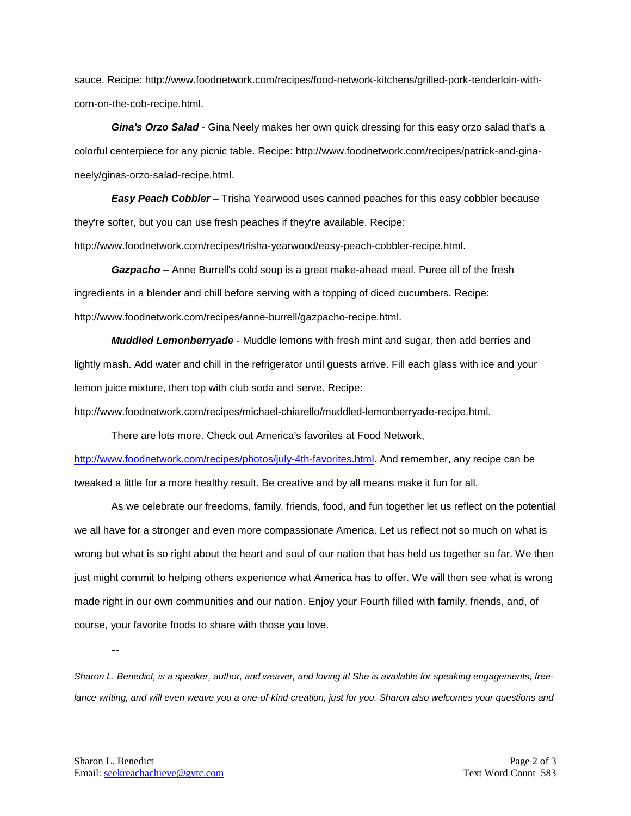sauce. Recipe: http://www.foodnetwork.com/recipes/food-network-kitchens/grilled-pork-tenderloin-withcorn-on-the-cob-recipe.html.

*Gina's Orzo Salad* - Gina Neely makes her own quick dressing for this easy orzo salad that's a colorful centerpiece for any picnic table. Recipe: http://www.foodnetwork.com/recipes/patrick-and-ginaneely/ginas-orzo-salad-recipe.html.

**Easy Peach Cobbler** – Trisha Yearwood uses canned peaches for this easy cobbler because they're softer, but you can use fresh peaches if they're available. Recipe:

http://www.foodnetwork.com/recipes/trisha-yearwood/easy-peach-cobbler-recipe.html.

*Gazpacho* – Anne Burrell's cold soup is a great make-ahead meal. Puree all of the fresh ingredients in a blender and chill before serving with a topping of diced cucumbers. Recipe: http://www.foodnetwork.com/recipes/anne-burrell/gazpacho-recipe.html.

*Muddled Lemonberryade* - Muddle lemons with fresh mint and sugar, then add berries and lightly mash. Add water and chill in the refrigerator until guests arrive. Fill each glass with ice and your lemon juice mixture, then top with club soda and serve. Recipe:

http://www.foodnetwork.com/recipes/michael-chiarello/muddled-lemonberryade-recipe.html.

There are lots more. Check out America's favorites at Food Network,

[http://www.foodnetwork.com/recipes/photos/july-4th-favorites.html.](http://www.foodnetwork.com/recipes/photos/july-4th-favorites.html) And remember, any recipe can be tweaked a little for a more healthy result. Be creative and by all means make it fun for all.

As we celebrate our freedoms, family, friends, food, and fun together let us reflect on the potential we all have for a stronger and even more compassionate America. Let us reflect not so much on what is wrong but what is so right about the heart and soul of our nation that has held us together so far. We then just might commit to helping others experience what America has to offer. We will then see what is wrong made right in our own communities and our nation. Enjoy your Fourth filled with family, friends, and, of course, your favorite foods to share with those you love.

--

*Sharon L. Benedict, is a speaker, author, and weaver, and loving it! She is available for speaking engagements, free*lance writing, and will even weave you a one-of-kind creation, just for you. Sharon also welcomes your questions and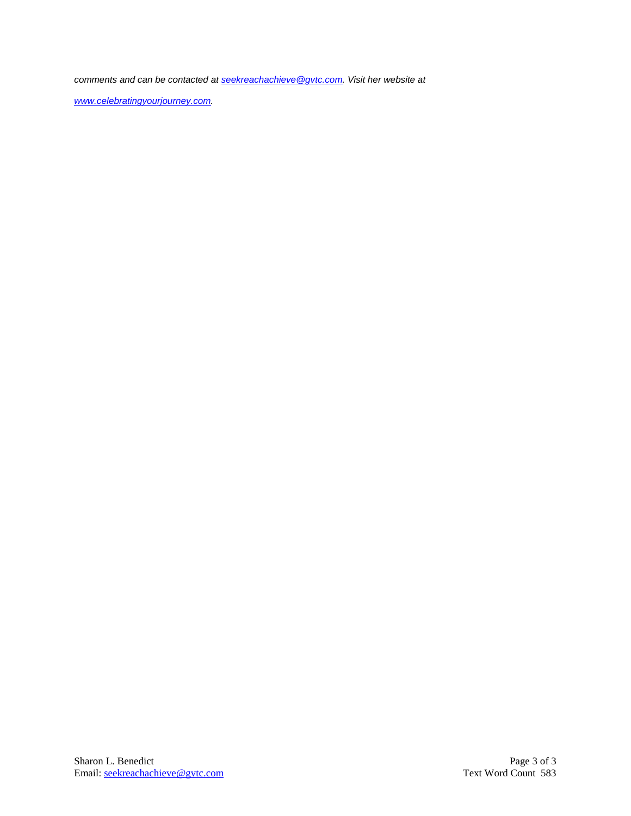*comments and can be contacted a[t seekreachachieve@gvtc.com.](mailto:seekreachachieve@gvtc.com) Visit her website at* 

*[www.celebratingyourjourney.com.](http://www.celebratingyourjourney.com/)*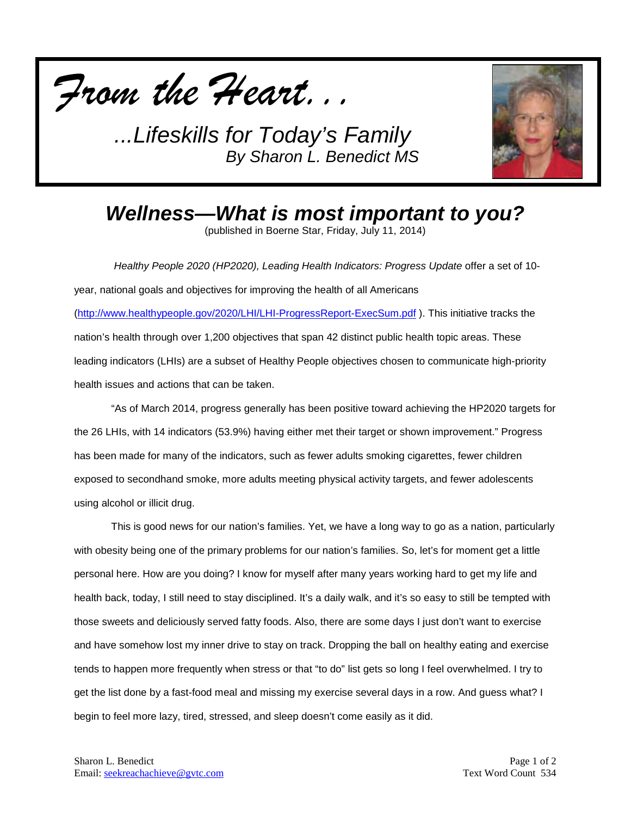



*Wellness—What is most important to you?*

(published in Boerne Star, Friday, July 11, 2014)

*Healthy People 2020 (HP2020), Leading Health Indicators: Progress Update* offer a set of 10 year, national goals and objectives for improving the health of all Americans [\(http://www.healthypeople.gov/2020/LHI/LHI-ProgressReport-ExecSum.pdf](http://www.healthypeople.gov/2020/LHI/LHI-ProgressReport-ExecSum.pdf) ). This initiative tracks the nation's health through over 1,200 objectives that span 42 distinct public health topic areas. These leading indicators (LHIs) are a subset of Healthy People objectives chosen to communicate high-priority health issues and actions that can be taken.

"As of March 2014, progress generally has been positive toward achieving the HP2020 targets for the 26 LHIs, with 14 indicators (53.9%) having either met their target or shown improvement." Progress has been made for many of the indicators, such as fewer adults smoking cigarettes, fewer children exposed to secondhand smoke, more adults meeting physical activity targets, and fewer adolescents using alcohol or illicit drug.

This is good news for our nation's families. Yet, we have a long way to go as a nation, particularly with obesity being one of the primary problems for our nation's families. So, let's for moment get a little personal here. How are you doing? I know for myself after many years working hard to get my life and health back, today, I still need to stay disciplined. It's a daily walk, and it's so easy to still be tempted with those sweets and deliciously served fatty foods. Also, there are some days I just don't want to exercise and have somehow lost my inner drive to stay on track. Dropping the ball on healthy eating and exercise tends to happen more frequently when stress or that "to do" list gets so long I feel overwhelmed. I try to get the list done by a fast-food meal and missing my exercise several days in a row. And guess what? I begin to feel more lazy, tired, stressed, and sleep doesn't come easily as it did.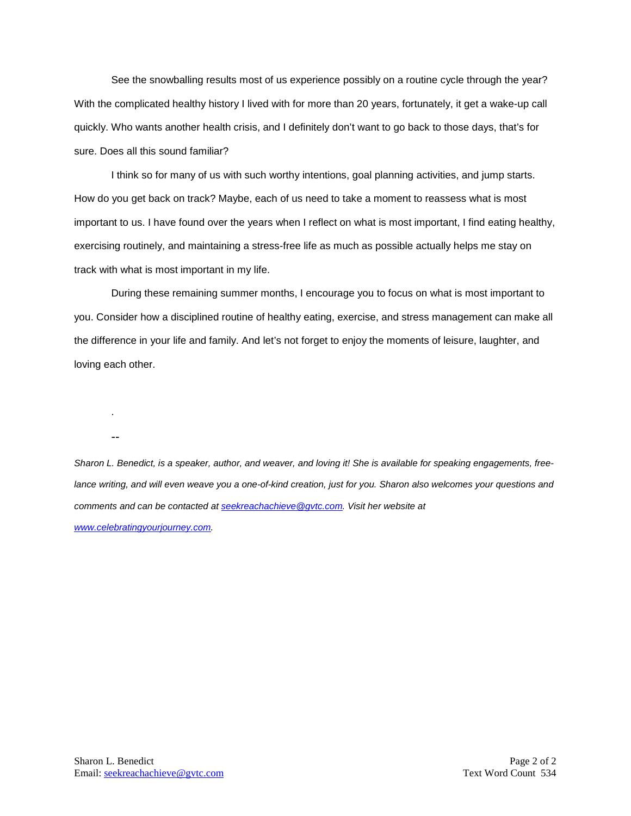See the snowballing results most of us experience possibly on a routine cycle through the year? With the complicated healthy history I lived with for more than 20 years, fortunately, it get a wake-up call quickly. Who wants another health crisis, and I definitely don't want to go back to those days, that's for sure. Does all this sound familiar?

I think so for many of us with such worthy intentions, goal planning activities, and jump starts. How do you get back on track? Maybe, each of us need to take a moment to reassess what is most important to us. I have found over the years when I reflect on what is most important, I find eating healthy, exercising routinely, and maintaining a stress-free life as much as possible actually helps me stay on track with what is most important in my life.

During these remaining summer months, I encourage you to focus on what is most important to you. Consider how a disciplined routine of healthy eating, exercise, and stress management can make all the difference in your life and family. And let's not forget to enjoy the moments of leisure, laughter, and loving each other.



*Sharon L. Benedict, is a speaker, author, and weaver, and loving it! She is available for speaking engagements, free*lance writing, and will even weave you a one-of-kind creation, just for you. Sharon also welcomes your questions and *comments and can be contacted a[t seekreachachieve@gvtc.com.](mailto:seekreachachieve@gvtc.com) Visit her website at [www.celebratingyourjourney.com.](http://www.celebratingyourjourney.com/)*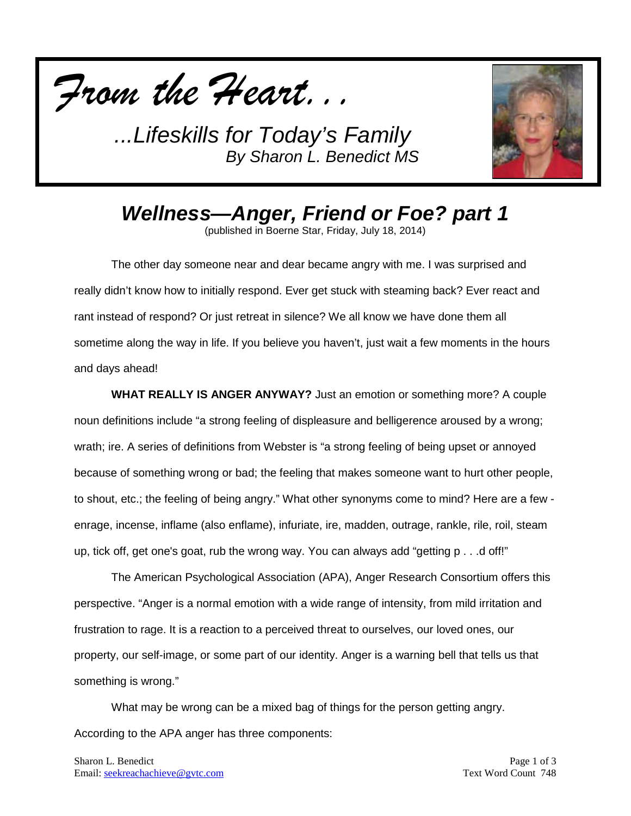



## *Wellness—Anger, Friend or Foe? part 1*

(published in Boerne Star, Friday, July 18, 2014)

The other day someone near and dear became angry with me. I was surprised and really didn't know how to initially respond. Ever get stuck with steaming back? Ever react and rant instead of respond? Or just retreat in silence? We all know we have done them all sometime along the way in life. If you believe you haven't, just wait a few moments in the hours and days ahead!

**WHAT REALLY IS ANGER ANYWAY?** Just an emotion or something more? A couple noun definitions include "a strong feeling of displeasure and belligerence aroused by a wrong; wrath; ire. A series of definitions from Webster is "a strong feeling of being upset or annoyed because of something wrong or bad; the feeling that makes someone want to hurt other people, to shout, etc.; the feeling of being angry." What other synonyms come to mind? Here are a few enrage, incense, inflame (also enflame), infuriate, ire, madden, outrage, rankle, rile, roil, steam up, tick off, get one's goat, rub the wrong way. You can always add "getting p . . .d off!"

The American Psychological Association (APA), Anger Research Consortium offers this perspective. "Anger is a normal emotion with a wide range of intensity, from mild irritation and frustration to rage. It is a reaction to a perceived threat to ourselves, our loved ones, our property, our self-image, or some part of our identity. Anger is a warning bell that tells us that something is wrong."

What may be wrong can be a mixed bag of things for the person getting angry. According to the APA anger has three components: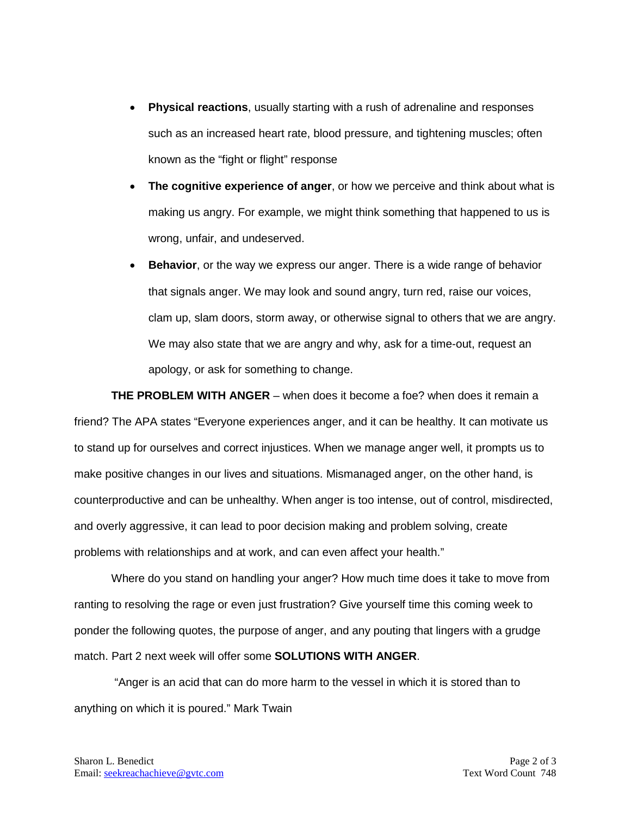- **Physical reactions**, usually starting with a rush of adrenaline and responses such as an increased heart rate, blood pressure, and tightening muscles; often known as the "fight or flight" response
- **The cognitive experience of anger**, or how we perceive and think about what is making us angry. For example, we might think something that happened to us is wrong, unfair, and undeserved.
- **Behavior**, or the way we express our anger. There is a wide range of behavior that signals anger. We may look and sound angry, turn red, raise our voices, clam up, slam doors, storm away, or otherwise signal to others that we are angry. We may also state that we are angry and why, ask for a time-out, request an apology, or ask for something to change.

**THE PROBLEM WITH ANGER** – when does it become a foe? when does it remain a friend? The APA states "Everyone experiences anger, and it can be healthy. It can motivate us to stand up for ourselves and correct injustices. When we manage anger well, it prompts us to make positive changes in our lives and situations. Mismanaged anger, on the other hand, is counterproductive and can be unhealthy. When anger is too intense, out of control, misdirected, and overly aggressive, it can lead to poor decision making and problem solving, create problems with relationships and at work, and can even affect your health."

Where do you stand on handling your anger? How much time does it take to move from ranting to resolving the rage or even just frustration? Give yourself time this coming week to ponder the following quotes, the purpose of anger, and any pouting that lingers with a grudge match. Part 2 next week will offer some **SOLUTIONS WITH ANGER**.

"Anger is an acid that can do more harm to the vessel in which it is stored than to anything on which it is poured." Mark Twain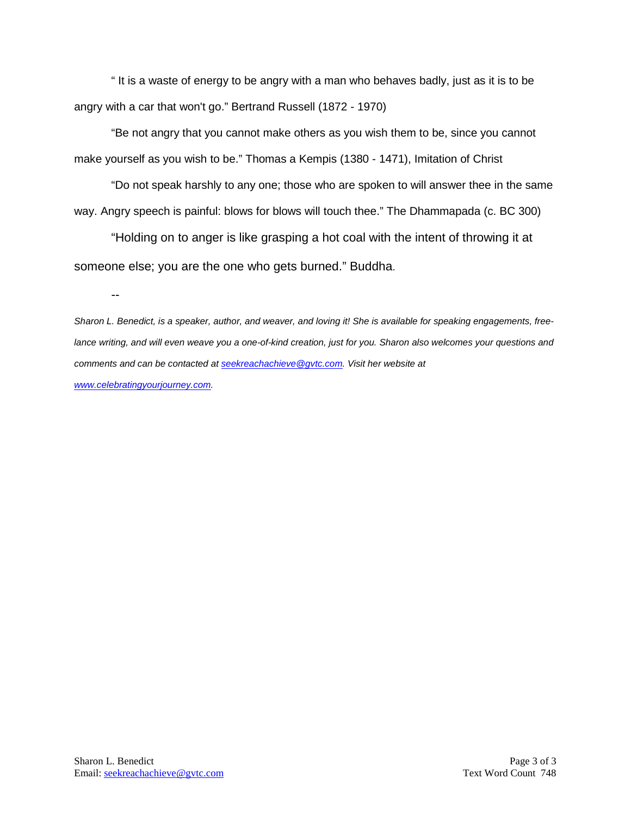" It is a waste of energy to be angry with a man who behaves badly, just as it is to be angry with a car that won't go." Bertrand Russell (1872 - 1970)

"Be not angry that you cannot make others as you wish them to be, since you cannot make yourself as you wish to be." Thomas a Kempis (1380 - 1471), Imitation of Christ

"Do not speak harshly to any one; those who are spoken to will answer thee in the same way. Angry speech is painful: blows for blows will touch thee." The Dhammapada (c. BC 300)

"Holding on to anger is like grasping a hot coal with the intent of throwing it at someone else; you are the one who gets burned." Buddha.

--

*Sharon L. Benedict, is a speaker, author, and weaver, and loving it! She is available for speaking engagements, freelance writing, and will even weave you a one-of-kind creation, just for you. Sharon also welcomes your questions and comments and can be contacted a[t seekreachachieve@gvtc.com.](mailto:seekreachachieve@gvtc.com) Visit her website at [www.celebratingyourjourney.com.](http://www.celebratingyourjourney.com/)*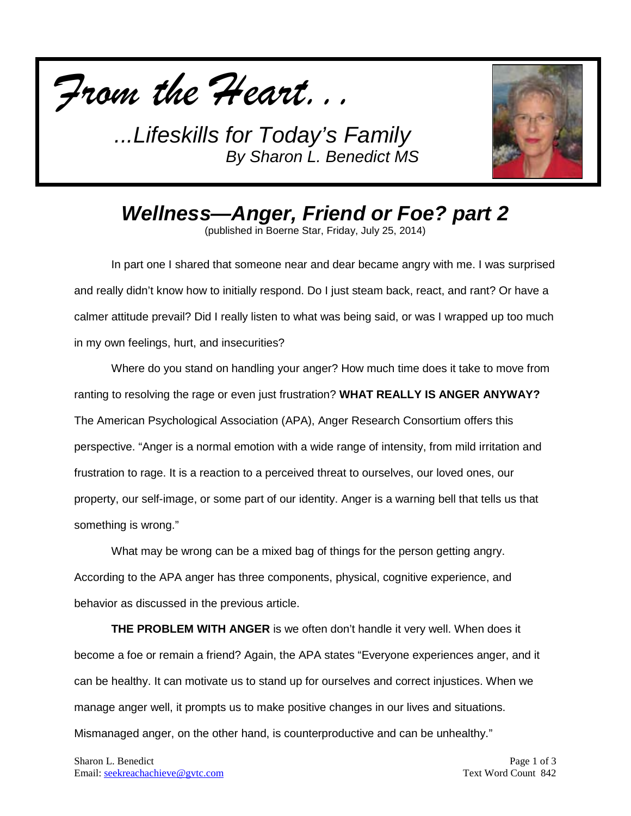



## *Wellness—Anger, Friend or Foe? part 2*

(published in Boerne Star, Friday, July 25, 2014)

In part one I shared that someone near and dear became angry with me. I was surprised and really didn't know how to initially respond. Do I just steam back, react, and rant? Or have a calmer attitude prevail? Did I really listen to what was being said, or was I wrapped up too much in my own feelings, hurt, and insecurities?

Where do you stand on handling your anger? How much time does it take to move from ranting to resolving the rage or even just frustration? **WHAT REALLY IS ANGER ANYWAY?** The American Psychological Association (APA), Anger Research Consortium offers this perspective. "Anger is a normal emotion with a wide range of intensity, from mild irritation and frustration to rage. It is a reaction to a perceived threat to ourselves, our loved ones, our property, our self-image, or some part of our identity. Anger is a warning bell that tells us that something is wrong."

What may be wrong can be a mixed bag of things for the person getting angry. According to the APA anger has three components, physical, cognitive experience, and behavior as discussed in the previous article.

**THE PROBLEM WITH ANGER** is we often don't handle it very well. When does it become a foe or remain a friend? Again, the APA states "Everyone experiences anger, and it can be healthy. It can motivate us to stand up for ourselves and correct injustices. When we manage anger well, it prompts us to make positive changes in our lives and situations. Mismanaged anger, on the other hand, is counterproductive and can be unhealthy."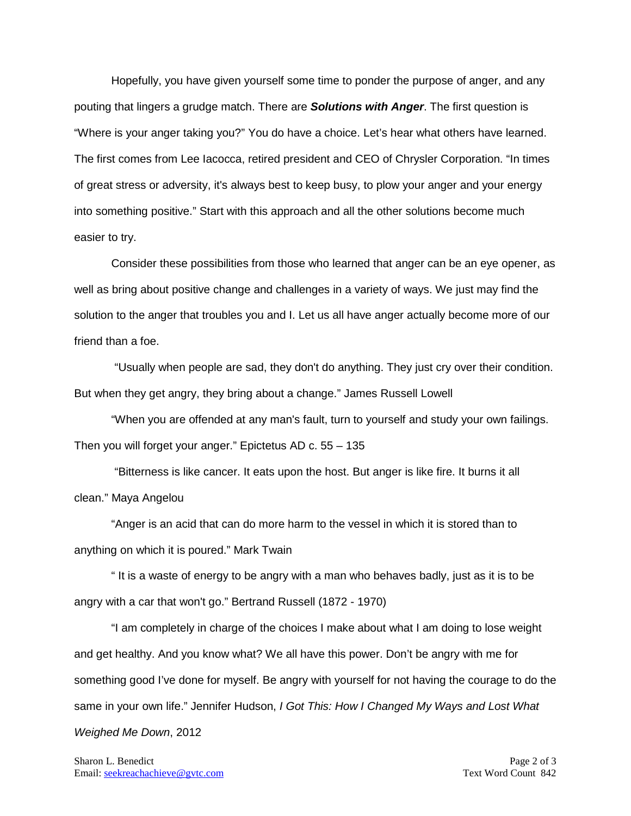Hopefully, you have given yourself some time to ponder the purpose of anger, and any pouting that lingers a grudge match. There are *Solutions with Anger*. The first question is "Where is your anger taking you?" You do have a choice. Let's hear what others have learned. The first comes from Lee Iacocca, retired president and CEO of Chrysler Corporation. "In times of great stress or adversity, it's always best to keep busy, to plow your anger and your energy into something positive." Start with this approach and all the other solutions become much easier to try.

Consider these possibilities from those who learned that anger can be an eye opener, as well as bring about positive change and challenges in a variety of ways. We just may find the solution to the anger that troubles you and I. Let us all have anger actually become more of our friend than a foe.

"Usually when people are sad, they don't do anything. They just cry over their condition. But when they get angry, they bring about a change." James Russell Lowell

"When you are offended at any man's fault, turn to yourself and study your own failings. Then you will forget your anger." Epictetus AD c. 55 – 135

"Bitterness is like cancer. It eats upon the host. But anger is like fire. It burns it all clean." Maya Angelou

"Anger is an acid that can do more harm to the vessel in which it is stored than to anything on which it is poured." Mark Twain

" It is a waste of energy to be angry with a man who behaves badly, just as it is to be angry with a car that won't go." Bertrand Russell (1872 - 1970)

"I am completely in charge of the choices I make about what I am doing to lose weight and get healthy. And you know what? We all have this power. Don't be angry with me for something good I've done for myself. Be angry with yourself for not having the courage to do the same in your own life." Jennifer Hudson, *I Got This: How I Changed My Ways and Lost What* 

*Weighed Me Down*, 2012